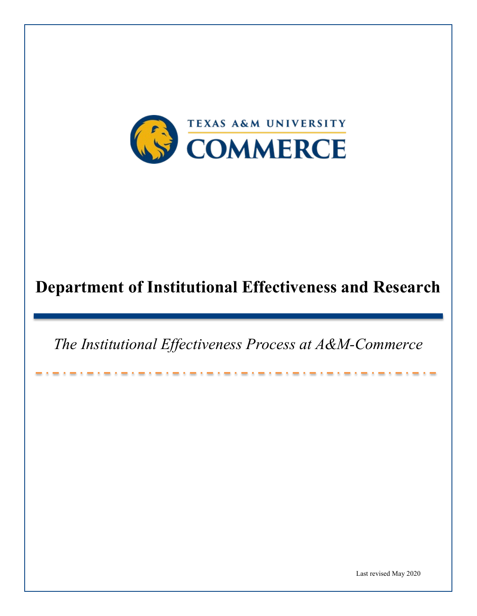

# **Department of Institutional Effectiveness and Research**

*The Institutional Effectiveness Process at A&M-Commerce*

Last revised May 2020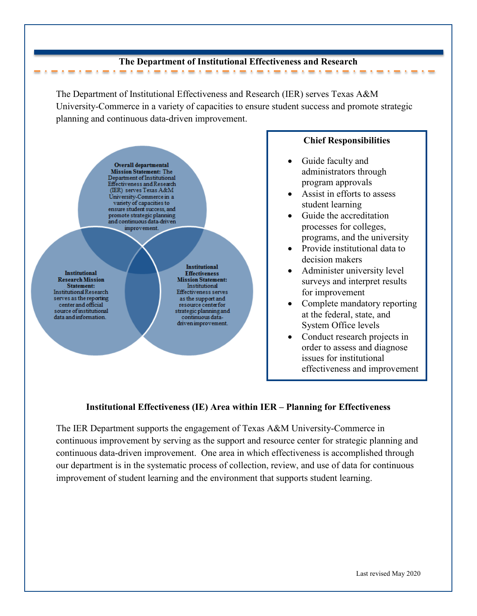#### **The Department of Institutional Effectiveness and Research**

The Department of Institutional Effectiveness and Research (IER) serves Texas A&M University-Commerce in a variety of capacities to ensure student success and promote strategic planning and continuous data-driven improvement.



## **Chief Responsibilities**

• Guide faculty and administrators through program approvals

the contract of the contract of the contract of the contract of

- Assist in efforts to assess student learning
- Guide the accreditation processes for colleges, programs, and the university
- Provide institutional data to decision makers
- Administer university level surveys and interpret results for improvement
- Complete mandatory reporting at the federal, state, and System Office levels
- Conduct research projects in order to assess and diagnose issues for institutional effectiveness and improvement

# **Institutional Effectiveness (IE) Area within IER – Planning for Effectiveness**

The IER Department supports the engagement of Texas A&M University-Commerce in continuous improvement by serving as the support and resource center for strategic planning and continuous data-driven improvement. One area in which effectiveness is accomplished through our department is in the systematic process of collection, review, and use of data for continuous improvement of student learning and the environment that supports student learning.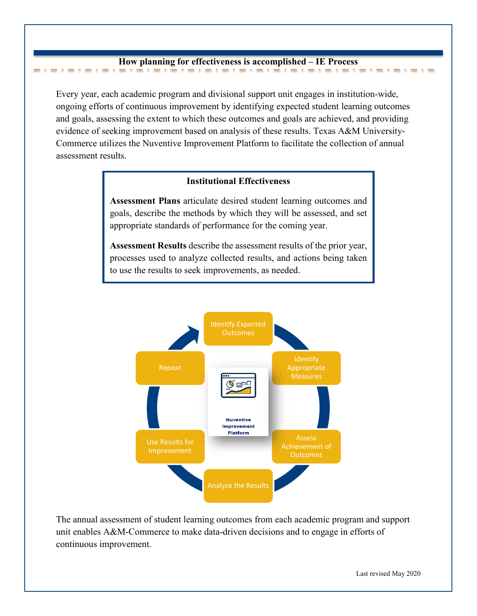#### **How planning for effectiveness is accomplished – IE Process**

-----

٠

Every year, each academic program and divisional support unit engages in institution-wide, ongoing efforts of continuous improvement by identifying expected student learning outcomes and goals, assessing the extent to which these outcomes and goals are achieved, and providing evidence of seeking improvement based on analysis of these results. Texas A&M University-Commerce utilizes the Nuventive Improvement Platform to facilitate the collection of annual assessment results.

## **Institutional Effectiveness**

**Assessment Plans** articulate desired student learning outcomes and goals, describe the methods by which they will be assessed, and set appropriate standards of performance for the coming year.

**Assessment Results** describe the assessment results of the prior year, processes used to analyze collected results, and actions being taken to use the results to seek improvements, as needed.



The annual assessment of student learning outcomes from each academic program and support unit enables A&M-Commerce to make data-driven decisions and to engage in efforts of continuous improvement.

. . . . . . . . . . . . . . . .